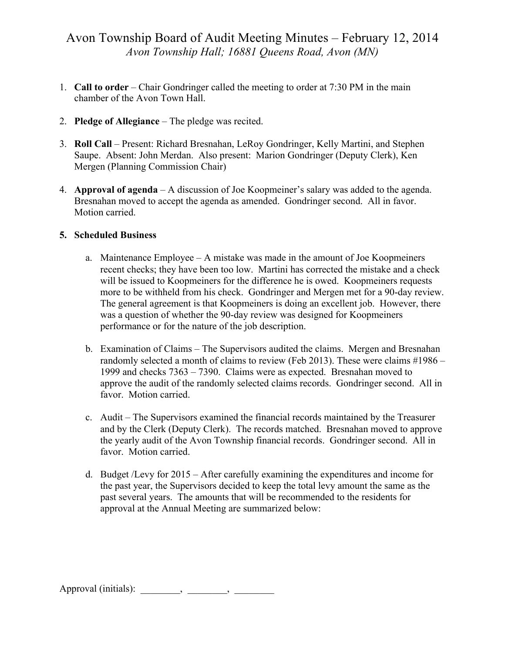- 1. **Call to order** Chair Gondringer called the meeting to order at 7:30 PM in the main chamber of the Avon Town Hall.
- 2. **Pledge of Allegiance** The pledge was recited.
- 3. **Roll Call** Present: Richard Bresnahan, LeRoy Gondringer, Kelly Martini, and Stephen Saupe. Absent: John Merdan. Also present: Marion Gondringer (Deputy Clerk), Ken Mergen (Planning Commission Chair)
- 4. **Approval of agenda** A discussion of Joe Koopmeiner's salary was added to the agenda. Bresnahan moved to accept the agenda as amended. Gondringer second. All in favor. Motion carried.

## **5. Scheduled Business**

- a. Maintenance Employee A mistake was made in the amount of Joe Koopmeiners recent checks; they have been too low. Martini has corrected the mistake and a check will be issued to Koopmeiners for the difference he is owed. Koopmeiners requests more to be withheld from his check. Gondringer and Mergen met for a 90-day review. The general agreement is that Koopmeiners is doing an excellent job. However, there was a question of whether the 90-day review was designed for Koopmeiners performance or for the nature of the job description.
- b. Examination of Claims The Supervisors audited the claims. Mergen and Bresnahan randomly selected a month of claims to review (Feb 2013). These were claims #1986 – 1999 and checks 7363 – 7390. Claims were as expected. Bresnahan moved to approve the audit of the randomly selected claims records. Gondringer second. All in favor. Motion carried.
- c. Audit The Supervisors examined the financial records maintained by the Treasurer and by the Clerk (Deputy Clerk). The records matched. Bresnahan moved to approve the yearly audit of the Avon Township financial records. Gondringer second. All in favor. Motion carried.
- d. Budget /Levy for 2015 After carefully examining the expenditures and income for the past year, the Supervisors decided to keep the total levy amount the same as the past several years. The amounts that will be recommended to the residents for approval at the Annual Meeting are summarized below:

Approval (initials):  $\frac{\qquad \qquad }{\qquad \qquad }$